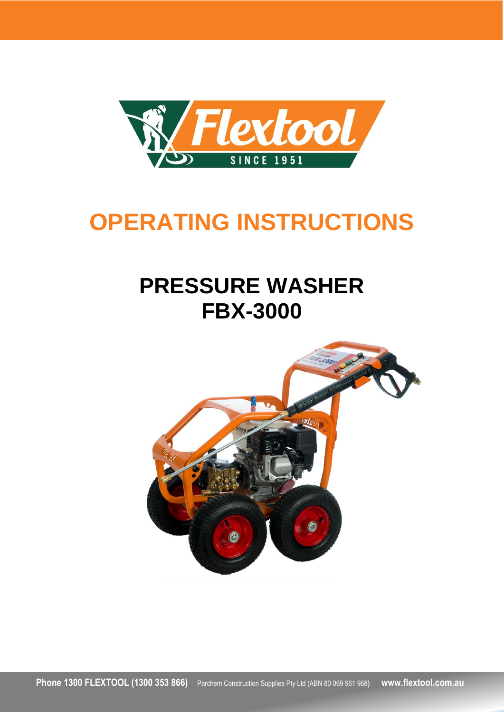

# **OPERATING INSTRUCTIONS**

# **PRESSURE WASHER FBX-3000**

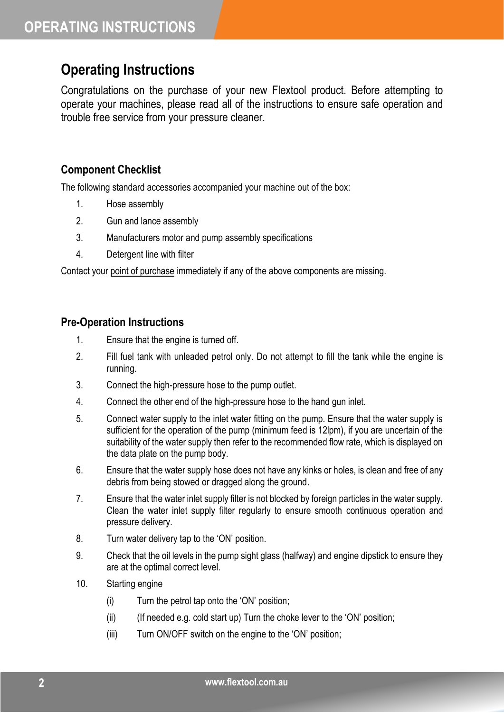### **Operating Instructions**

Congratulations on the purchase of your new Flextool product. Before attempting to operate your machines, please read all of the instructions to ensure safe operation and trouble free service from your pressure cleaner.

#### **Component Checklist**

The following standard accessories accompanied your machine out of the box:

- 1. Hose assembly
- 2. Gun and lance assembly
- 3. Manufacturers motor and pump assembly specifications
- 4. Detergent line with filter

Contact your point of purchase immediately if any of the above components are missing.

#### **Pre-Operation Instructions**

- 1. Ensure that the engine is turned off.
- 2. Fill fuel tank with unleaded petrol only. Do not attempt to fill the tank while the engine is running.
- 3. Connect the high-pressure hose to the pump outlet.
- 4. Connect the other end of the high-pressure hose to the hand gun inlet.
- 5. Connect water supply to the inlet water fitting on the pump. Ensure that the water supply is sufficient for the operation of the pump (minimum feed is 12lpm), if you are uncertain of the suitability of the water supply then refer to the recommended flow rate, which is displayed on the data plate on the pump body.
- 6. Ensure that the water supply hose does not have any kinks or holes, is clean and free of any debris from being stowed or dragged along the ground.
- 7. Ensure that the water inlet supply filter is not blocked by foreign particles in the water supply. Clean the water inlet supply filter regularly to ensure smooth continuous operation and pressure delivery.
- 8. Turn water delivery tap to the 'ON' position.
- 9. Check that the oil levels in the pump sight glass (halfway) and engine dipstick to ensure they are at the optimal correct level.
- 10. Starting engine
	- (i) Turn the petrol tap onto the 'ON' position;
	- $(ii)$  (If needed e.g. cold start up) Turn the choke lever to the 'ON' position;
	- (iii) Turn ON/OFF switch on the engine to the 'ON' position;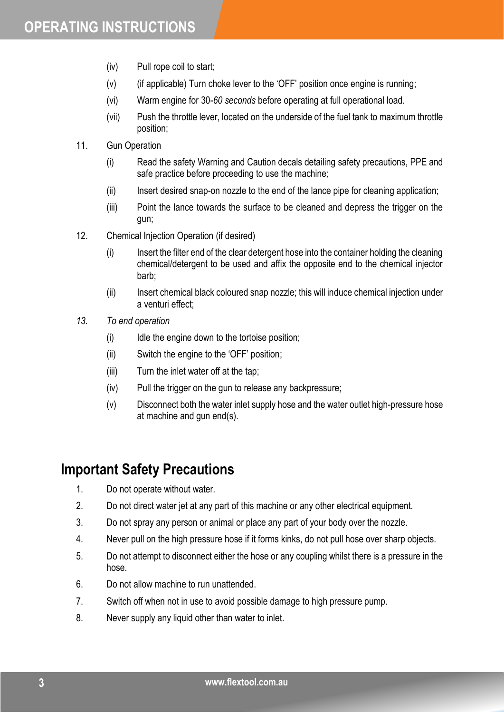- (iv) Pull rope coil to start;
- (v) (if applicable) Turn choke lever to the 'OFF' position once engine is running;
- (vi) Warm engine for 30-*60 seconds* before operating at full operational load.
- (vii) Push the throttle lever, located on the underside of the fuel tank to maximum throttle position;
- 11. Gun Operation
	- (i) Read the safety Warning and Caution decals detailing safety precautions, PPE and safe practice before proceeding to use the machine;
	- (ii) Insert desired snap-on nozzle to the end of the lance pipe for cleaning application;
	- (iii) Point the lance towards the surface to be cleaned and depress the trigger on the gun;
- 12. Chemical Injection Operation (if desired)
	- (i) Insert the filter end of the clear detergent hose into the container holding the cleaning chemical/detergent to be used and affix the opposite end to the chemical injector barb;
	- (ii) Insert chemical black coloured snap nozzle; this will induce chemical injection under a venturi effect;
- *13. To end operation*
	- (i) Idle the engine down to the tortoise position;
	- (ii) Switch the engine to the 'OFF' position;
	- (iii) Turn the inlet water off at the tap;
	- (iv) Pull the trigger on the gun to release any backpressure;
	- (v) Disconnect both the water inlet supply hose and the water outlet high-pressure hose at machine and gun end(s).

#### **Important Safety Precautions**

- 1. Do not operate without water.
- 2. Do not direct water jet at any part of this machine or any other electrical equipment.
- 3. Do not spray any person or animal or place any part of your body over the nozzle.
- 4. Never pull on the high pressure hose if it forms kinks, do not pull hose over sharp objects.
- 5. Do not attempt to disconnect either the hose or any coupling whilst there is a pressure in the hose.
- 6. Do not allow machine to run unattended.
- 7. Switch off when not in use to avoid possible damage to high pressure pump.
- 8. Never supply any liquid other than water to inlet.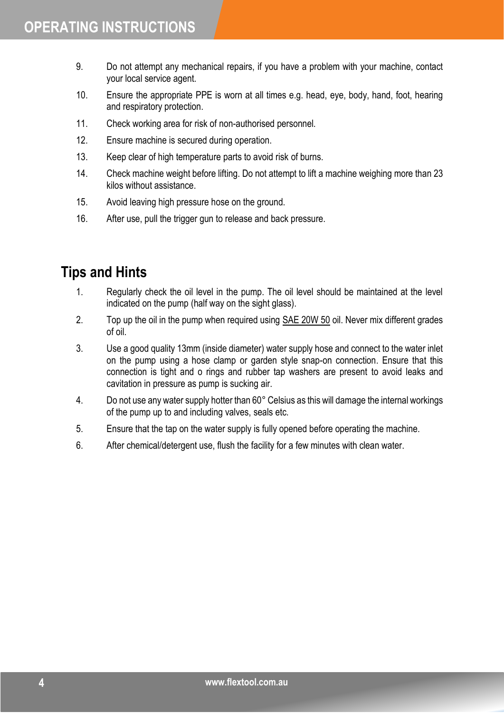- 9. Do not attempt any mechanical repairs, if you have a problem with your machine, contact your local service agent.
- 10. Ensure the appropriate PPE is worn at all times e.g. head, eye, body, hand, foot, hearing and respiratory protection.
- 11. Check working area for risk of non-authorised personnel.
- 12. Ensure machine is secured during operation.
- 13. Keep clear of high temperature parts to avoid risk of burns.
- 14. Check machine weight before lifting. Do not attempt to lift a machine weighing more than 23 kilos without assistance.
- 15. Avoid leaving high pressure hose on the ground.
- 16. After use, pull the trigger gun to release and back pressure.

#### **Tips and Hints**

- 1. Regularly check the oil level in the pump. The oil level should be maintained at the level indicated on the pump (half way on the sight glass).
- 2. Top up the oil in the pump when required using SAE 20W 50 oil. Never mix different grades of oil.
- 3. Use a good quality 13mm (inside diameter) water supply hose and connect to the water inlet on the pump using a hose clamp or garden style snap-on connection. Ensure that this connection is tight and o rings and rubber tap washers are present to avoid leaks and cavitation in pressure as pump is sucking air.
- 4. Do not use any water supply hotter than 60° Celsius as this will damage the internal workings of the pump up to and including valves, seals etc.
- 5. Ensure that the tap on the water supply is fully opened before operating the machine.
- 6. After chemical/detergent use, flush the facility for a few minutes with clean water.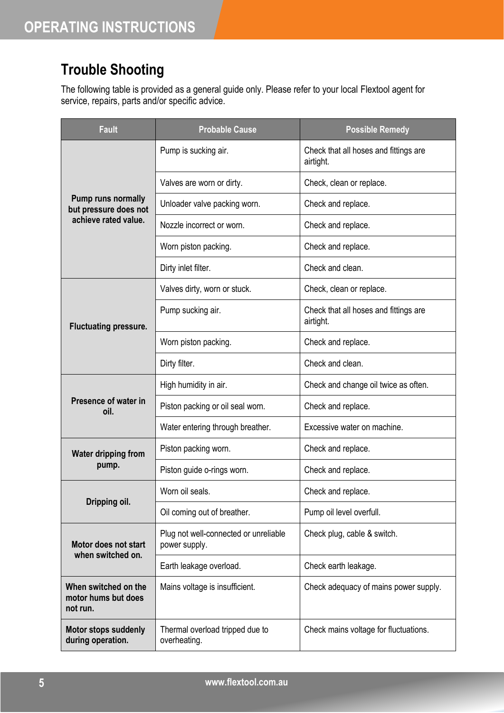## **Trouble Shooting**

The following table is provided as a general guide only. Please refer to your local Flextool agent for service, repairs, parts and/or specific advice.

| Fault                                                                      | <b>Probable Cause</b>                                  | <b>Possible Remedy</b>                             |
|----------------------------------------------------------------------------|--------------------------------------------------------|----------------------------------------------------|
| <b>Pump runs normally</b><br>but pressure does not<br>achieve rated value. | Pump is sucking air.                                   | Check that all hoses and fittings are<br>airtight. |
|                                                                            | Valves are worn or dirty.                              | Check, clean or replace.                           |
|                                                                            | Unloader valve packing worn.                           | Check and replace.                                 |
|                                                                            | Nozzle incorrect or worn.                              | Check and replace.                                 |
|                                                                            | Worn piston packing.                                   | Check and replace.                                 |
|                                                                            | Dirty inlet filter.                                    | Check and clean.                                   |
| <b>Fluctuating pressure.</b>                                               | Valves dirty, worn or stuck.                           | Check, clean or replace.                           |
|                                                                            | Pump sucking air.                                      | Check that all hoses and fittings are<br>airtight. |
|                                                                            | Worn piston packing.                                   | Check and replace.                                 |
|                                                                            | Dirty filter.                                          | Check and clean.                                   |
| Presence of water in<br>oil.                                               | High humidity in air.                                  | Check and change oil twice as often.               |
|                                                                            | Piston packing or oil seal worn.                       | Check and replace.                                 |
|                                                                            | Water entering through breather.                       | Excessive water on machine.                        |
| <b>Water dripping from</b><br>pump.                                        | Piston packing worn.                                   | Check and replace.                                 |
|                                                                            | Piston guide o-rings worn.                             | Check and replace.                                 |
| Dripping oil.                                                              | Worn oil seals.                                        | Check and replace.                                 |
|                                                                            | Oil coming out of breather.                            | Pump oil level overfull.                           |
| Motor does not start<br>when switched on.                                  | Plug not well-connected or unreliable<br>power supply. | Check plug, cable & switch.                        |
|                                                                            | Earth leakage overload.                                | Check earth leakage.                               |
| When switched on the<br>motor hums but does<br>not run.                    | Mains voltage is insufficient.                         | Check adequacy of mains power supply.              |
| <b>Motor stops suddenly</b><br>during operation.                           | Thermal overload tripped due to<br>overheating.        | Check mains voltage for fluctuations.              |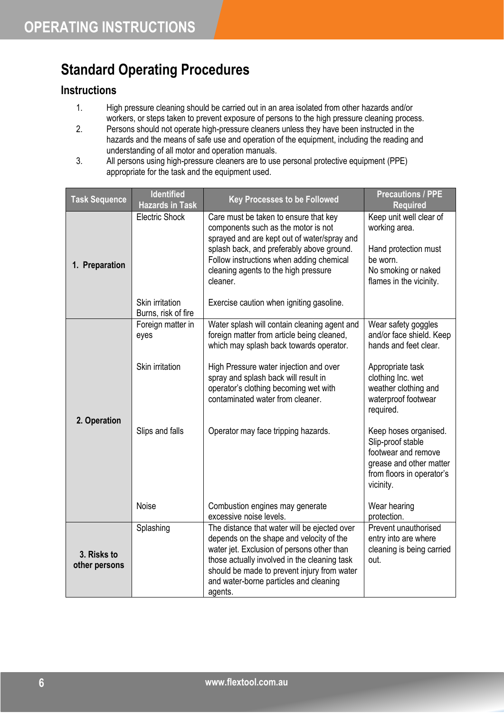## **Standard Operating Procedures**

#### **Instructions**

- 1. High pressure cleaning should be carried out in an area isolated from other hazards and/or workers, or steps taken to prevent exposure of persons to the high pressure cleaning process.
- 2. Persons should not operate high-pressure cleaners unless they have been instructed in the hazards and the means of safe use and operation of the equipment, including the reading and understanding of all motor and operation manuals.
- 3. All persons using high-pressure cleaners are to use personal protective equipment (PPE) appropriate for the task and the equipment used.

| <b>Task Sequence</b>         | <b>Identified</b><br><b>Hazards in Task</b> | <b>Key Processes to be Followed</b>                                                                                                                                                                                                                                                        | <b>Precautions / PPE</b><br><b>Required</b>                                                                                            |
|------------------------------|---------------------------------------------|--------------------------------------------------------------------------------------------------------------------------------------------------------------------------------------------------------------------------------------------------------------------------------------------|----------------------------------------------------------------------------------------------------------------------------------------|
| 1. Preparation               | <b>Electric Shock</b>                       | Care must be taken to ensure that key<br>components such as the motor is not<br>sprayed and are kept out of water/spray and<br>splash back, and preferably above ground.<br>Follow instructions when adding chemical<br>cleaning agents to the high pressure<br>cleaner.                   | Keep unit well clear of<br>working area.<br>Hand protection must<br>be worn.<br>No smoking or naked<br>flames in the vicinity.         |
|                              | Skin irritation<br>Burns, risk of fire      | Exercise caution when igniting gasoline.                                                                                                                                                                                                                                                   |                                                                                                                                        |
| 2. Operation                 | Foreign matter in<br>eyes                   | Water splash will contain cleaning agent and<br>foreign matter from article being cleaned,<br>which may splash back towards operator.                                                                                                                                                      | Wear safety goggles<br>and/or face shield. Keep<br>hands and feet clear.                                                               |
|                              | Skin irritation                             | High Pressure water injection and over<br>spray and splash back will result in<br>operator's clothing becoming wet with<br>contaminated water from cleaner.                                                                                                                                | Appropriate task<br>clothing Inc. wet<br>weather clothing and<br>waterproof footwear<br>required.                                      |
|                              | Slips and falls                             | Operator may face tripping hazards.                                                                                                                                                                                                                                                        | Keep hoses organised.<br>Slip-proof stable<br>footwear and remove<br>grease and other matter<br>from floors in operator's<br>vicinity. |
|                              | <b>Noise</b>                                | Combustion engines may generate<br>excessive noise levels.                                                                                                                                                                                                                                 | Wear hearing<br>protection.                                                                                                            |
| 3. Risks to<br>other persons | Splashing                                   | The distance that water will be ejected over<br>depends on the shape and velocity of the<br>water jet. Exclusion of persons other than<br>those actually involved in the cleaning task<br>should be made to prevent injury from water<br>and water-borne particles and cleaning<br>agents. | Prevent unauthorised<br>entry into are where<br>cleaning is being carried<br>out.                                                      |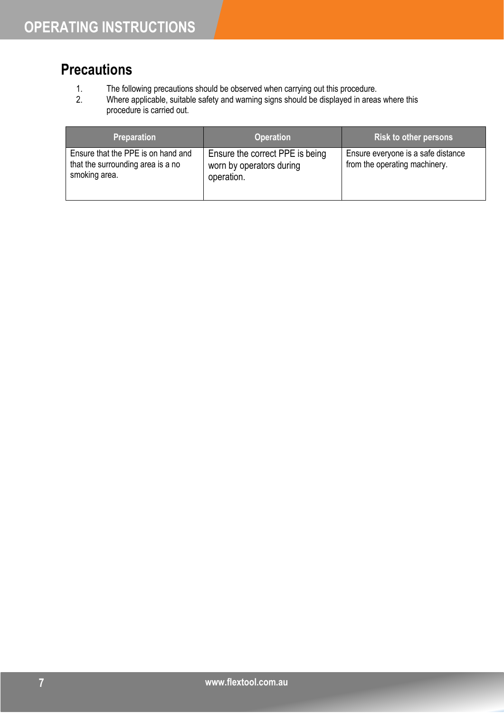## **Precautions**

- 1. The following precautions should be observed when carrying out this procedure.<br>2. Where applicable, suitable safety and warning signs should be displayed in areas
- Where applicable, suitable safety and warning signs should be displayed in areas where this procedure is carried out.

| <b>Preparation</b>                                                                       | <b>Operation</b>                                                          | Risk to other persons                                               |
|------------------------------------------------------------------------------------------|---------------------------------------------------------------------------|---------------------------------------------------------------------|
| Ensure that the PPE is on hand and<br>that the surrounding area is a no<br>smoking area. | Ensure the correct PPE is being<br>worn by operators during<br>operation. | Ensure everyone is a safe distance<br>from the operating machinery. |